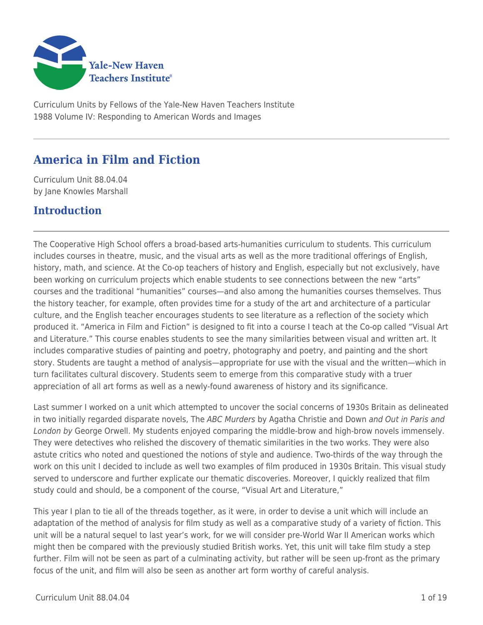

Curriculum Units by Fellows of the Yale-New Haven Teachers Institute 1988 Volume IV: Responding to American Words and Images

# **America in Film and Fiction**

Curriculum Unit 88.04.04 by Jane Knowles Marshall

## **Introduction**

The Cooperative High School offers a broad-based arts-humanities curriculum to students. This curriculum includes courses in theatre, music, and the visual arts as well as the more traditional offerings of English, history, math, and science. At the Co-op teachers of history and English, especially but not exclusively, have been working on curriculum projects which enable students to see connections between the new "arts" courses and the traditional "humanities" courses—and also among the humanities courses themselves. Thus the history teacher, for example, often provides time for a study of the art and architecture of a particular culture, and the English teacher encourages students to see literature as a reflection of the society which produced it. "America in Film and Fiction" is designed to fit into a course I teach at the Co-op called "Visual Art and Literature." This course enables students to see the many similarities between visual and written art. It includes comparative studies of painting and poetry, photography and poetry, and painting and the short story. Students are taught a method of analysis—appropriate for use with the visual and the written—which in turn facilitates cultural discovery. Students seem to emerge from this comparative study with a truer appreciation of all art forms as well as a newly-found awareness of history and its significance.

Last summer I worked on a unit which attempted to uncover the social concerns of 1930s Britain as delineated in two initially regarded disparate novels, The ABC Murders by Agatha Christie and Down and Out in Paris and London by George Orwell. My students enjoyed comparing the middle-brow and high-brow novels immensely. They were detectives who relished the discovery of thematic similarities in the two works. They were also astute critics who noted and questioned the notions of style and audience. Two-thirds of the way through the work on this unit I decided to include as well two examples of film produced in 1930s Britain. This visual study served to underscore and further explicate our thematic discoveries. Moreover, I quickly realized that film study could and should, be a component of the course, "Visual Art and Literature,"

This year I plan to tie all of the threads together, as it were, in order to devise a unit which will include an adaptation of the method of analysis for film study as well as a comparative study of a variety of fiction. This unit will be a natural sequel to last year's work, for we will consider pre-World War II American works which might then be compared with the previously studied British works. Yet, this unit will take film study a step further. Film will not be seen as part of a culminating activity, but rather will be seen up-front as the primary focus of the unit, and film will also be seen as another art form worthy of careful analysis.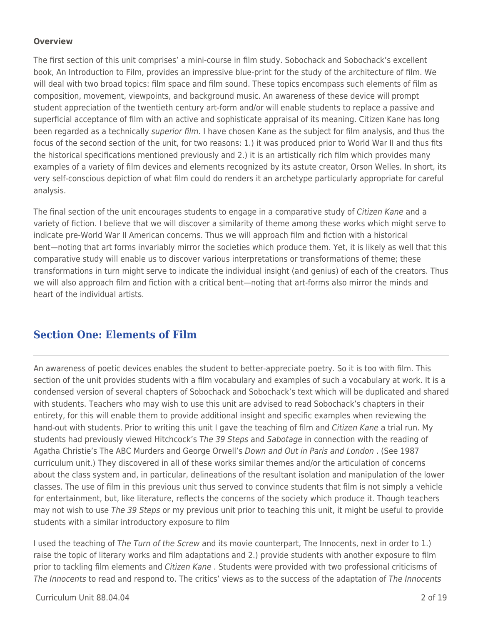#### **Overview**

The first section of this unit comprises' a mini-course in film study. Sobochack and Sobochack's excellent book, An Introduction to Film, provides an impressive blue-print for the study of the architecture of film. We will deal with two broad topics: film space and film sound. These topics encompass such elements of film as composition, movement, viewpoints, and background music. An awareness of these device will prompt student appreciation of the twentieth century art-form and/or will enable students to replace a passive and superficial acceptance of film with an active and sophisticate appraisal of its meaning. Citizen Kane has long been regarded as a technically *superior film.* I have chosen Kane as the subject for film analysis, and thus the focus of the second section of the unit, for two reasons: 1.) it was produced prior to World War II and thus fits the historical specifications mentioned previously and 2.) it is an artistically rich film which provides many examples of a variety of film devices and elements recognized by its astute creator, Orson Welles. In short, its very self-conscious depiction of what film could do renders it an archetype particularly appropriate for careful analysis.

The final section of the unit encourages students to engage in a comparative study of Citizen Kane and a variety of fiction. I believe that we will discover a similarity of theme among these works which might serve to indicate pre-World War II American concerns. Thus we will approach film and fiction with a historical bent—noting that art forms invariably mirror the societies which produce them. Yet, it is likely as well that this comparative study will enable us to discover various interpretations or transformations of theme; these transformations in turn might serve to indicate the individual insight (and genius) of each of the creators. Thus we will also approach film and fiction with a critical bent—noting that art-forms also mirror the minds and heart of the individual artists.

## **Section One: Elements of Film**

An awareness of poetic devices enables the student to better-appreciate poetry. So it is too with film. This section of the unit provides students with a film vocabulary and examples of such a vocabulary at work. It is a condensed version of several chapters of Sobochack and Sobochack's text which will be duplicated and shared with students. Teachers who may wish to use this unit are advised to read Sobochack's chapters in their entirety, for this will enable them to provide additional insight and specific examples when reviewing the hand-out with students. Prior to writing this unit I gave the teaching of film and Citizen Kane a trial run. My students had previously viewed Hitchcock's The 39 Steps and Sabotage in connection with the reading of Agatha Christie's The ABC Murders and George Orwell's Down and Out in Paris and London . (See 1987 curriculum unit.) They discovered in all of these works similar themes and/or the articulation of concerns about the class system and, in particular, delineations of the resultant isolation and manipulation of the lower classes. The use of film in this previous unit thus served to convince students that film is not simply a vehicle for entertainment, but, like literature, reflects the concerns of the society which produce it. Though teachers may not wish to use The 39 Steps or my previous unit prior to teaching this unit, it might be useful to provide students with a similar introductory exposure to film

I used the teaching of The Turn of the Screw and its movie counterpart, The Innocents, next in order to 1.) raise the topic of literary works and film adaptations and 2.) provide students with another exposure to film prior to tackling film elements and Citizen Kane. Students were provided with two professional criticisms of The Innocents to read and respond to. The critics' views as to the success of the adaptation of The Innocents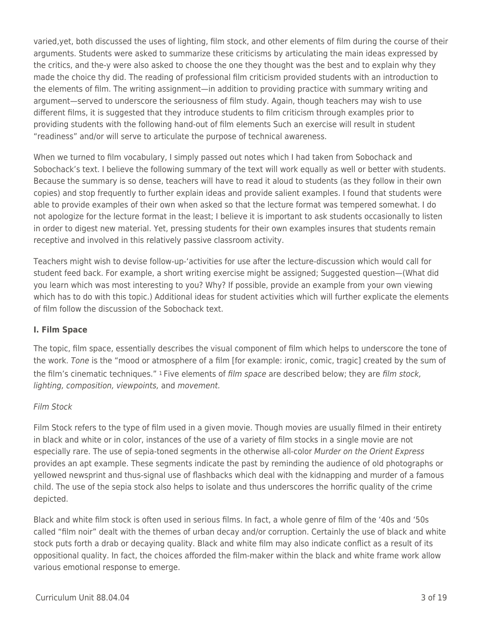varied,yet, both discussed the uses of lighting, film stock, and other elements of film during the course of their arguments. Students were asked to summarize these criticisms by articulating the main ideas expressed by the critics, and the-y were also asked to choose the one they thought was the best and to explain why they made the choice thy did. The reading of professional film criticism provided students with an introduction to the elements of film. The writing assignment—in addition to providing practice with summary writing and argument—served to underscore the seriousness of film study. Again, though teachers may wish to use different films, it is suggested that they introduce students to film criticism through examples prior to providing students with the following hand-out of film elements Such an exercise will result in student "readiness" and/or will serve to articulate the purpose of technical awareness.

When we turned to film vocabulary, I simply passed out notes which I had taken from Sobochack and Sobochack's text. I believe the following summary of the text will work equally as well or better with students. Because the summary is so dense, teachers will have to read it aloud to students (as they follow in their own copies) and stop frequently to further explain ideas and provide salient examples. I found that students were able to provide examples of their own when asked so that the lecture format was tempered somewhat. I do not apologize for the lecture format in the least; I believe it is important to ask students occasionally to listen in order to digest new material. Yet, pressing students for their own examples insures that students remain receptive and involved in this relatively passive classroom activity.

Teachers might wish to devise follow-up-'activities for use after the lecture-discussion which would call for student feed back. For example, a short writing exercise might be assigned; Suggested question—(What did you learn which was most interesting to you? Why? If possible, provide an example from your own viewing which has to do with this topic.) Additional ideas for student activities which will further explicate the elements of film follow the discussion of the Sobochack text.

### **I. Film Space**

The topic, film space, essentially describes the visual component of film which helps to underscore the tone of the work. Tone is the "mood or atmosphere of a film [for example: ironic, comic, tragic] created by the sum of the film's cinematic techniques." 1 Five elements of film space are described below; they are film stock, lighting, composition, viewpoints, and movement.

#### Film Stock

Film Stock refers to the type of film used in a given movie. Though movies are usually filmed in their entirety in black and white or in color, instances of the use of a variety of film stocks in a single movie are not especially rare. The use of sepia-toned segments in the otherwise all-color Murder on the Orient Express provides an apt example. These segments indicate the past by reminding the audience of old photographs or yellowed newsprint and thus-signal use of flashbacks which deal with the kidnapping and murder of a famous child. The use of the sepia stock also helps to isolate and thus underscores the horrific quality of the crime depicted.

Black and white film stock is often used in serious films. In fact, a whole genre of film of the '40s and '50s called "film noir" dealt with the themes of urban decay and/or corruption. Certainly the use of black and white stock puts forth a drab or decaying quality. Black and white film may also indicate conflict as a result of its oppositional quality. In fact, the choices afforded the film-maker within the black and white frame work allow various emotional response to emerge.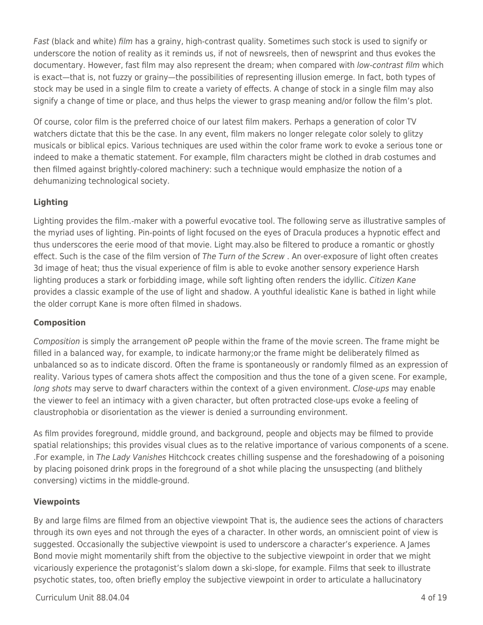Fast (black and white) film has a grainy, high-contrast quality. Sometimes such stock is used to signify or underscore the notion of reality as it reminds us, if not of newsreels, then of newsprint and thus evokes the documentary. However, fast film may also represent the dream; when compared with low-contrast film which is exact—that is, not fuzzy or grainy—the possibilities of representing illusion emerge. In fact, both types of stock may be used in a single film to create a variety of effects. A change of stock in a single film may also signify a change of time or place, and thus helps the viewer to grasp meaning and/or follow the film's plot.

Of course, color film is the preferred choice of our latest film makers. Perhaps a generation of color TV watchers dictate that this be the case. In any event, film makers no longer relegate color solely to glitzy musicals or biblical epics. Various techniques are used within the color frame work to evoke a serious tone or indeed to make a thematic statement. For example, film characters might be clothed in drab costumes and then filmed against brightly-colored machinery: such a technique would emphasize the notion of a dehumanizing technological society.

## **Lighting**

Lighting provides the film.-maker with a powerful evocative tool. The following serve as illustrative samples of the myriad uses of lighting. Pin-points of light focused on the eyes of Dracula produces a hypnotic effect and thus underscores the eerie mood of that movie. Light may.also be filtered to produce a romantic or ghostly effect. Such is the case of the film version of The Turn of the Screw . An over-exposure of light often creates 3d image of heat; thus the visual experience of film is able to evoke another sensory experience Harsh lighting produces a stark or forbidding image, while soft lighting often renders the idyllic. Citizen Kane provides a classic example of the use of light and shadow. A youthful idealistic Kane is bathed in light while the older corrupt Kane is more often filmed in shadows.

#### **Composition**

Composition is simply the arrangement oP people within the frame of the movie screen. The frame might be filled in a balanced way, for example, to indicate harmony;or the frame might be deliberately filmed as unbalanced so as to indicate discord. Often the frame is spontaneously or randomly filmed as an expression of reality. Various types of camera shots affect the composition and thus the tone of a given scene. For example, long shots may serve to dwarf characters within the context of a given environment. Close-ups may enable the viewer to feel an intimacy with a given character, but often protracted close-ups evoke a feeling of claustrophobia or disorientation as the viewer is denied a surrounding environment.

As film provides foreground, middle ground, and background, people and objects may be filmed to provide spatial relationships; this provides visual clues as to the relative importance of various components of a scene. .For example, in The Lady Vanishes Hitchcock creates chilling suspense and the foreshadowing of a poisoning by placing poisoned drink props in the foreground of a shot while placing the unsuspecting (and blithely conversing) victims in the middle-ground.

#### **Viewpoints**

By and large films are filmed from an objective viewpoint That is, the audience sees the actions of characters through its own eyes and not through the eyes of a character. In other words, an omniscient point of view is suggested. Occasionally the subjective viewpoint is used to underscore a character's experience. A James Bond movie might momentarily shift from the objective to the subjective viewpoint in order that we might vicariously experience the protagonist's slalom down a ski-slope, for example. Films that seek to illustrate psychotic states, too, often briefly employ the subjective viewpoint in order to articulate a hallucinatory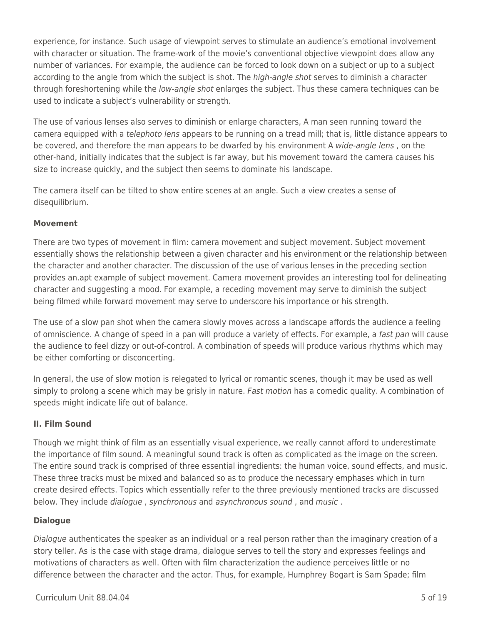experience, for instance. Such usage of viewpoint serves to stimulate an audience's emotional involvement with character or situation. The frame-work of the movie's conventional objective viewpoint does allow any number of variances. For example, the audience can be forced to look down on a subject or up to a subject according to the angle from which the subject is shot. The *high-angle shot* serves to diminish a character through foreshortening while the low-angle shot enlarges the subject. Thus these camera techniques can be used to indicate a subject's vulnerability or strength.

The use of various lenses also serves to diminish or enlarge characters, A man seen running toward the camera equipped with a telephoto lens appears to be running on a tread mill; that is, little distance appears to be covered, and therefore the man appears to be dwarfed by his environment A wide-angle lens, on the other-hand, initially indicates that the subject is far away, but his movement toward the camera causes his size to increase quickly, and the subject then seems to dominate his landscape.

The camera itself can be tilted to show entire scenes at an angle. Such a view creates a sense of disequilibrium.

### **Movement**

There are two types of movement in film: camera movement and subject movement. Subject movement essentially shows the relationship between a given character and his environment or the relationship between the character and another character. The discussion of the use of various lenses in the preceding section provides an.apt example of subject movement. Camera movement provides an interesting tool for delineating character and suggesting a mood. For example, a receding movement may serve to diminish the subject being filmed while forward movement may serve to underscore his importance or his strength.

The use of a slow pan shot when the camera slowly moves across a landscape affords the audience a feeling of omniscience. A change of speed in a pan will produce a variety of effects. For example, a fast pan will cause the audience to feel dizzy or out-of-control. A combination of speeds will produce various rhythms which may be either comforting or disconcerting.

In general, the use of slow motion is relegated to lyrical or romantic scenes, though it may be used as well simply to prolong a scene which may be grisly in nature. Fast motion has a comedic quality. A combination of speeds might indicate life out of balance.

### **II. Film Sound**

Though we might think of film as an essentially visual experience, we really cannot afford to underestimate the importance of film sound. A meaningful sound track is often as complicated as the image on the screen. The entire sound track is comprised of three essential ingredients: the human voice, sound effects, and music. These three tracks must be mixed and balanced so as to produce the necessary emphases which in turn create desired effects. Topics which essentially refer to the three previously mentioned tracks are discussed below. They include *dialogue, synchronous* and asynchronous sound, and music.

### **Dialogue**

Dialogue authenticates the speaker as an individual or a real person rather than the imaginary creation of a story teller. As is the case with stage drama, dialogue serves to tell the story and expresses feelings and motivations of characters as well. Often with film characterization the audience perceives little or no difference between the character and the actor. Thus, for example, Humphrey Bogart is Sam Spade; film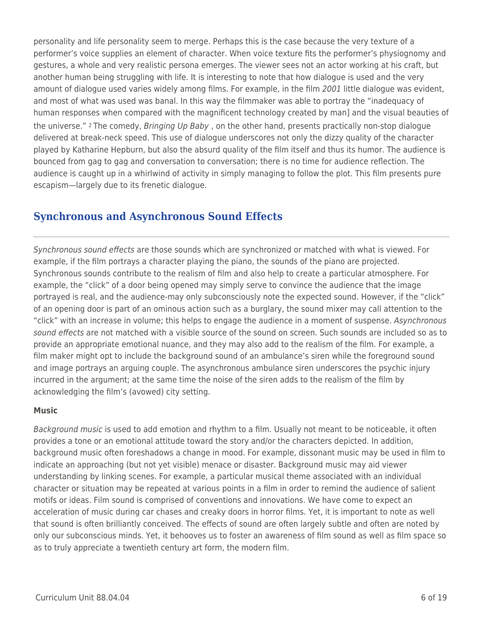personality and life personality seem to merge. Perhaps this is the case because the very texture of a performer's voice supplies an element of character. When voice texture fits the performer's physiognomy and gestures, a whole and very realistic persona emerges. The viewer sees not an actor working at his craft, but another human being struggling with life. It is interesting to note that how dialogue is used and the very amount of dialogue used varies widely among films. For example, in the film 2001 little dialogue was evident, and most of what was used was banal. In this way the filmmaker was able to portray the "inadequacy of human responses when compared with the magnificent technology created by man] and the visual beauties of the universe." <sup>2</sup> The comedy, Bringing Up Baby, on the other hand, presents practically non-stop dialogue delivered at break-neck speed. This use of dialogue underscores not only the dizzy quality of the character played by Katharine Hepburn, but also the absurd quality of the film itself and thus its humor. The audience is bounced from gag to gag and conversation to conversation; there is no time for audience reflection. The audience is caught up in a whirlwind of activity in simply managing to follow the plot. This film presents pure escapism—largely due to its frenetic dialogue.

## **Synchronous and Asynchronous Sound Effects**

Synchronous sound effects are those sounds which are synchronized or matched with what is viewed. For example, if the film portrays a character playing the piano, the sounds of the piano are projected. Synchronous sounds contribute to the realism of film and also help to create a particular atmosphere. For example, the "click" of a door being opened may simply serve to convince the audience that the image portrayed is real, and the audience-may only subconsciously note the expected sound. However, if the "click" of an opening door is part of an ominous action such as a burglary, the sound mixer may call attention to the "click" with an increase in volume; this helps to engage the audience in a moment of suspense. Asynchronous sound effects are not matched with a visible source of the sound on screen. Such sounds are included so as to provide an appropriate emotional nuance, and they may also add to the realism of the film. For example, a film maker might opt to include the background sound of an ambulance's siren while the foreground sound and image portrays an arguing couple. The asynchronous ambulance siren underscores the psychic injury incurred in the argument; at the same time the noise of the siren adds to the realism of the film by acknowledging the film's (avowed) city setting.

### **Music**

Background music is used to add emotion and rhythm to a film. Usually not meant to be noticeable, it often provides a tone or an emotional attitude toward the story and/or the characters depicted. In addition, background music often foreshadows a change in mood. For example, dissonant music may be used in film to indicate an approaching (but not yet visible) menace or disaster. Background music may aid viewer understanding by linking scenes. For example, a particular musical theme associated with an individual character or situation may be repeated at various points in a film in order to remind the audience of salient motifs or ideas. Film sound is comprised of conventions and innovations. We have come to expect an acceleration of music during car chases and creaky doors in horror films. Yet, it is important to note as well that sound is often brilliantly conceived. The effects of sound are often largely subtle and often are noted by only our subconscious minds. Yet, it behooves us to foster an awareness of film sound as well as film space so as to truly appreciate a twentieth century art form, the modern film.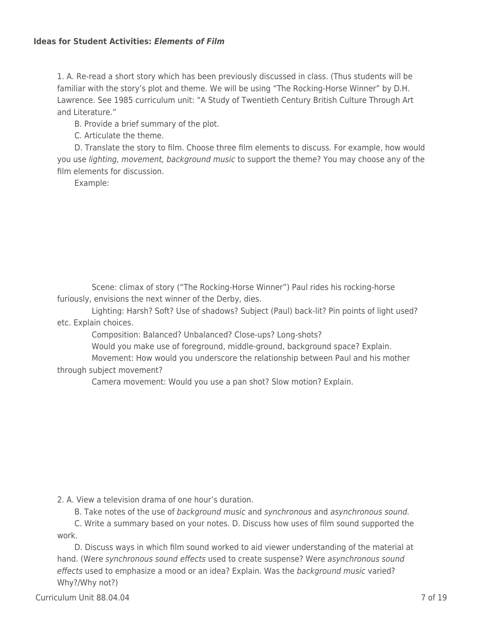1. A. Re-read a short story which has been previously discussed in class. (Thus students will be familiar with the story's plot and theme. We will be using "The Rocking-Horse Winner" by D.H. Lawrence. See 1985 curriculum unit: "A Study of Twentieth Century British Culture Through Art and Literature."

B. Provide a brief summary of the plot.

\_\_\_\_ C. Articulate the theme.

D. Translate the story to film. Choose three film elements to discuss. For example, how would you use *lighting, movement, background music* to support the theme? You may choose any of the film elements for discussion.

Example:

Scene: climax of story ("The Rocking-Horse Winner") Paul rides his rocking-horse furiously, envisions the next winner of the Derby, dies.

Lighting: Harsh? Soft? Use of shadows? Subject (Paul) back-lit? Pin points of light used? etc. Explain choices.

Composition: Balanced? Unbalanced? Close-ups? Long-shots?

Would you make use of foreground, middle-ground, background space? Explain.

Movement: How would you underscore the relationship between Paul and his mother through subject movement?

Camera movement: Would you use a pan shot? Slow motion? Explain.

2. A. View a television drama of one hour's duration.

B. Take notes of the use of background music and synchronous and asynchronous sound.

C. Write a summary based on your notes. D. Discuss how uses of film sound supported the work.

D. Discuss ways in which film sound worked to aid viewer understanding of the material at hand. (Were synchronous sound effects used to create suspense? Were asynchronous sound effects used to emphasize a mood or an idea? Explain. Was the background music varied? Why?/Why not?)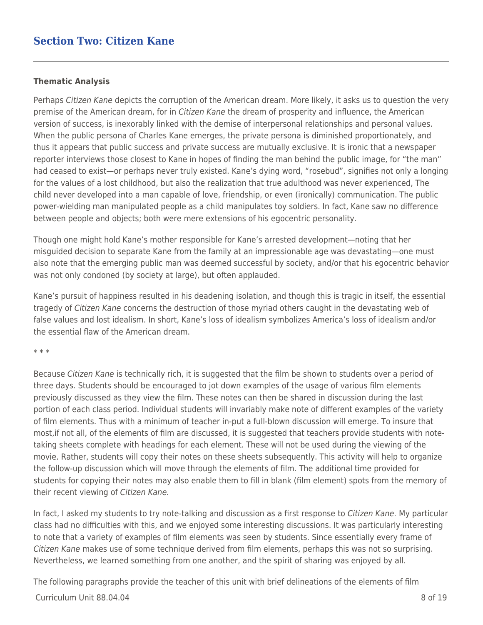#### **Thematic Analysis**

Perhaps Citizen Kane depicts the corruption of the American dream. More likely, it asks us to question the very premise of the American dream, for in *Citizen Kane* the dream of prosperity and influence, the American version of success, is inexorably linked with the demise of interpersonal relationships and personal values. When the public persona of Charles Kane emerges, the private persona is diminished proportionately, and thus it appears that public success and private success are mutually exclusive. It is ironic that a newspaper reporter interviews those closest to Kane in hopes of finding the man behind the public image, for "the man" had ceased to exist—or perhaps never truly existed. Kane's dying word, "rosebud", signifies not only a longing for the values of a lost childhood, but also the realization that true adulthood was never experienced, The child never developed into a man capable of love, friendship, or even (ironically) communication. The public power-wielding man manipulated people as a child manipulates toy soldiers. In fact, Kane saw no difference between people and objects; both were mere extensions of his egocentric personality.

Though one might hold Kane's mother responsible for Kane's arrested development—noting that her misguided decision to separate Kane from the family at an impressionable age was devastating—one must also note that the emerging public man was deemed successful by society, and/or that his egocentric behavior was not only condoned (by society at large), but often applauded.

Kane's pursuit of happiness resulted in his deadening isolation, and though this is tragic in itself, the essential tragedy of Citizen Kane concerns the destruction of those myriad others caught in the devastating web of false values and lost idealism. In short, Kane's loss of idealism symbolizes America's loss of idealism and/or the essential flaw of the American dream.

\* \* \*

Because Citizen Kane is technically rich, it is suggested that the film be shown to students over a period of three days. Students should be encouraged to jot down examples of the usage of various film elements previously discussed as they view the film. These notes can then be shared in discussion during the last portion of each class period. Individual students will invariably make note of different examples of the variety of film elements. Thus with a minimum of teacher in-put a full-blown discussion will emerge. To insure that most,if not all, of the elements of film are discussed, it is suggested that teachers provide students with notetaking sheets complete with headings for each element. These will not be used during the viewing of the movie. Rather, students will copy their notes on these sheets subsequently. This activity will help to organize the follow-up discussion which will move through the elements of film. The additional time provided for students for copying their notes may also enable them to fill in blank (film element) spots from the memory of their recent viewing of Citizen Kane.

In fact, I asked my students to try note-talking and discussion as a first response to Citizen Kane. My particular class had no difficulties with this, and we enjoyed some interesting discussions. It was particularly interesting to note that a variety of examples of film elements was seen by students. Since essentially every frame of Citizen Kane makes use of some technique derived from film elements, perhaps this was not so surprising. Nevertheless, we learned something from one another, and the spirit of sharing was enjoyed by all.

The following paragraphs provide the teacher of this unit with brief delineations of the elements of film

### $C$ urriculum Unit 88.04.04  $\overline{8}$  of 19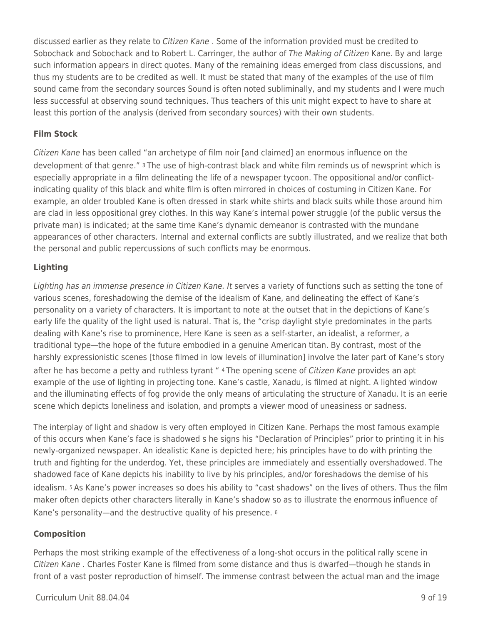discussed earlier as they relate to Citizen Kane. Some of the information provided must be credited to Sobochack and Sobochack and to Robert L. Carringer, the author of The Making of Citizen Kane. By and large such information appears in direct quotes. Many of the remaining ideas emerged from class discussions, and thus my students are to be credited as well. It must be stated that many of the examples of the use of film sound came from the secondary sources Sound is often noted subliminally, and my students and I were much less successful at observing sound techniques. Thus teachers of this unit might expect to have to share at least this portion of the analysis (derived from secondary sources) with their own students.

### **Film Stock**

Citizen Kane has been called "an archetype of film noir [and claimed] an enormous influence on the development of that genre." 3 The use of high-contrast black and white film reminds us of newsprint which is especially appropriate in a film delineating the life of a newspaper tycoon. The oppositional and/or conflictindicating quality of this black and white film is often mirrored in choices of costuming in Citizen Kane. For example, an older troubled Kane is often dressed in stark white shirts and black suits while those around him are clad in less oppositional grey clothes. In this way Kane's internal power struggle (of the public versus the private man) is indicated; at the same time Kane's dynamic demeanor is contrasted with the mundane appearances of other characters. Internal and external conflicts are subtly illustrated, and we realize that both the personal and public repercussions of such conflicts may be enormous.

### **Lighting**

Lighting has an immense presence in Citizen Kane. It serves a variety of functions such as setting the tone of various scenes, foreshadowing the demise of the idealism of Kane, and delineating the effect of Kane's personality on a variety of characters. It is important to note at the outset that in the depictions of Kane's early life the quality of the light used is natural. That is, the "crisp daylight style predominates in the parts dealing with Kane's rise to prominence, Here Kane is seen as a self-starter, an idealist, a reformer, a traditional type—the hope of the future embodied in a genuine American titan. By contrast, most of the harshly expressionistic scenes [those filmed in low levels of illumination] involve the later part of Kane's story after he has become a petty and ruthless tyrant " 4 The opening scene of Citizen Kane provides an apt example of the use of lighting in projecting tone. Kane's castle, Xanadu, is filmed at night. A lighted window and the illuminating effects of fog provide the only means of articulating the structure of Xanadu. It is an eerie scene which depicts loneliness and isolation, and prompts a viewer mood of uneasiness or sadness.

The interplay of light and shadow is very often employed in Citizen Kane. Perhaps the most famous example of this occurs when Kane's face is shadowed s he signs his "Declaration of Principles" prior to printing it in his newly-organized newspaper. An idealistic Kane is depicted here; his principles have to do with printing the truth and fighting for the underdog. Yet, these principles are immediately and essentially overshadowed. The shadowed face of Kane depicts his inability to live by his principles, and/or foreshadows the demise of his idealism. 5 As Kane's power increases so does his ability to "cast shadows" on the lives of others. Thus the film maker often depicts other characters literally in Kane's shadow so as to illustrate the enormous influence of Kane's personality—and the destructive quality of his presence. <sup>6</sup>

### **Composition**

Perhaps the most striking example of the effectiveness of a long-shot occurs in the political rally scene in Citizen Kane . Charles Foster Kane is filmed from some distance and thus is dwarfed—though he stands in front of a vast poster reproduction of himself. The immense contrast between the actual man and the image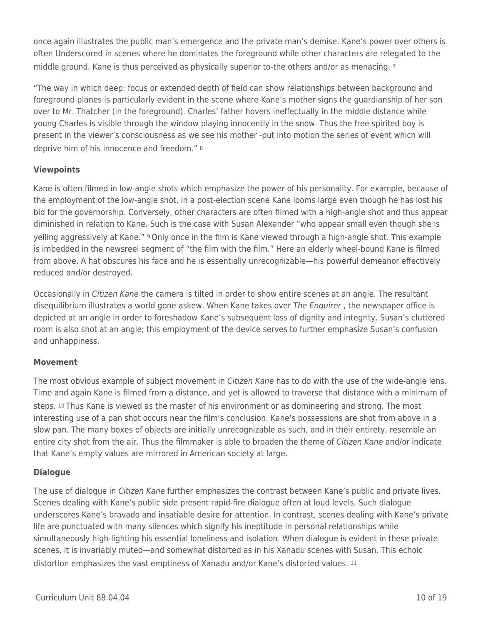once again illustrates the public man's emergence and the private man's demise. Kane's power over others is often Underscored in scenes where he dominates the foreground while other characters are relegated to the middle.ground. Kane is thus perceived as physically superior to-the others and/or as menacing. <sup>7</sup>

"The way in which deep: focus or extended depth of field can show relationships between background and foreground planes is particularly evident in the scene where Kane's mother signs the guardianship of her son over to Mr. Thatcher (in the foreground). Charles' father hovers ineffectually in the middle distance while young Charles is visible through the window playing innocently in the snow. Thus the free spirited boy is present in the viewer's consciousness as we see his mother -put into motion the series of event which will deprive him of his innocence and freedom." <sup>8</sup>

## **Viewpoints**

Kane is often filmed in low-angle shots which emphasize the power of his personality. For example, because of the employment of the low-angle shot, in a post-election scene Kane looms large even though he has lost his bid for the governorship. Conversely, other characters are often filmed with a high-angle shot and thus appear diminished in relation to Kane. Such is the case with Susan Alexander "who appear small even though she is yelling aggressively at Kane." 9 Only once in the film is Kane viewed through a high-angle shot. This example is imbedded in the newsreel segment of "the film with the film." Here an elderly wheel-bound Kane is filmed from above. A hat obscures his face and he is essentially unrecognizable—his powerful demeanor effectively reduced and/or destroyed.

Occasionally in *Citizen Kane* the camera is tilted in order to show entire scenes at an angle. The resultant disequilibrium illustrates a world gone askew. When Kane takes over The Enquirer, the newspaper office is depicted at an angle in order to foreshadow Kane's subsequent loss of dignity and integrity. Susan's cluttered room is also shot at an angle; this employment of the device serves to further emphasize Susan's confusion and unhappiness.

### **Movement**

The most obvious example of subject movement in *Citizen Kane* has to do with the use of the wide-angle lens. Time and again Kane is filmed from a distance, and yet is allowed to traverse that distance with a minimum of steps. 10 Thus Kane is viewed as the master of his environment or as domineering and strong. The most interesting use of a pan shot occurs near the film's conclusion. Kane's possessions are shot from above in a slow pan. The many boxes of objects are initially unrecognizable as such, and in their entirety, resemble an entire city shot from the air. Thus the filmmaker is able to broaden the theme of Citizen Kane and/or indicate that Kane's empty values are mirrored in American society at large.

### **Dialogue**

The use of dialogue in Citizen Kane further emphasizes the contrast between Kane's public and private lives. Scenes dealing with Kane's public side present rapid-fire dialogue often at loud levels. Such dialogue underscores Kane's bravado and insatiable desire for attention. In contrast, scenes dealing with Kane's private life are punctuated with many silences which signify his ineptitude in personal relationships while simultaneously high-lighting his essential loneliness and isolation. When dialogue is evident in these private scenes, it is invariably muted—and somewhat distorted as in his Xanadu scenes with Susan. This echoic distortion emphasizes the vast emptiness of Xanadu and/or Kane's distorted values. 11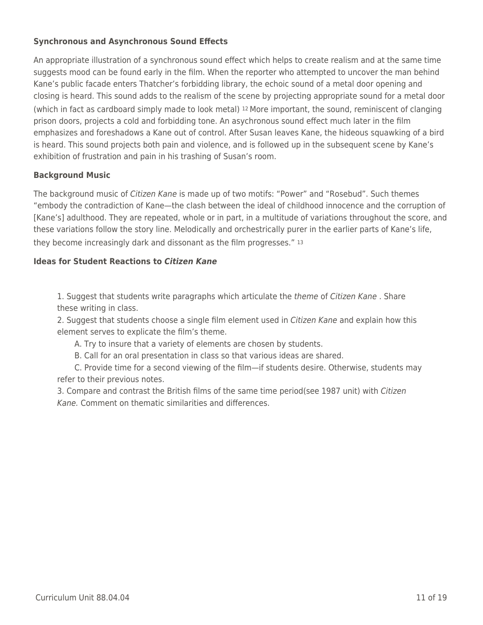### **Synchronous and Asynchronous Sound Effects**

An appropriate illustration of a synchronous sound effect which helps to create realism and at the same time suggests mood can be found early in the film. When the reporter who attempted to uncover the man behind Kane's public facade enters Thatcher's forbidding library, the echoic sound of a metal door opening and closing is heard. This sound adds to the realism of the scene by projecting appropriate sound for a metal door (which in fact as cardboard simply made to look metal) 12 More important, the sound, reminiscent of clanging prison doors, projects a cold and forbidding tone. An asychronous sound effect much later in the film emphasizes and foreshadows a Kane out of control. After Susan leaves Kane, the hideous squawking of a bird is heard. This sound projects both pain and violence, and is followed up in the subsequent scene by Kane's exhibition of frustration and pain in his trashing of Susan's room.

### **Background Music**

The background music of Citizen Kane is made up of two motifs: "Power" and "Rosebud". Such themes "embody the contradiction of Kane—the clash between the ideal of childhood innocence and the corruption of [Kane's] adulthood. They are repeated, whole or in part, in a multitude of variations throughout the score, and these variations follow the story line. Melodically and orchestrically purer in the earlier parts of Kane's life, they become increasingly dark and dissonant as the film progresses." <sup>13</sup>

#### **Ideas for Student Reactions to** *Citizen Kane*

1. Suggest that students write paragraphs which articulate the theme of Citizen Kane. Share these writing in class.

2. Suggest that students choose a single film element used in Citizen Kane and explain how this element serves to explicate the film's theme.

A. Try to insure that a variety of elements are chosen by students.

B. Call for an oral presentation in class so that various ideas are shared.

C. Provide time for a second viewing of the film—if students desire. Otherwise, students may refer to their previous notes.

3. Compare and contrast the British films of the same time period(see 1987 unit) with Citizen Kane. Comment on thematic similarities and differences.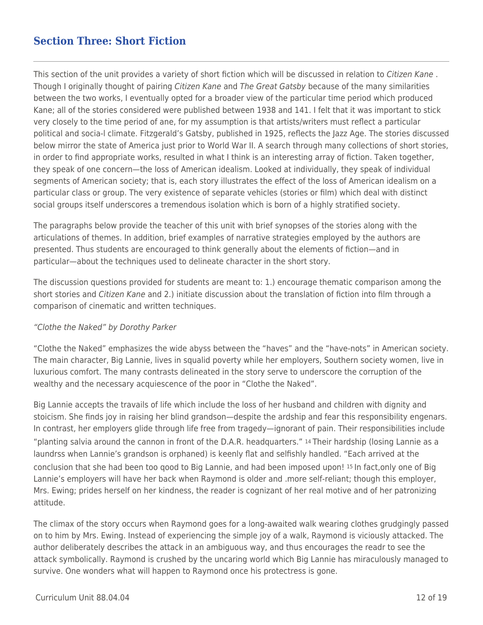## **Section Three: Short Fiction**

This section of the unit provides a variety of short fiction which will be discussed in relation to Citizen Kane. Though I originally thought of pairing Citizen Kane and The Great Gatsby because of the many similarities between the two works, I eventually opted for a broader view of the particular time period which produced Kane; all of the stories considered were published between 1938 and 141. I felt that it was important to stick very closely to the time period of ane, for my assumption is that artists/writers must reflect a particular political and socia-l climate. Fitzgerald's Gatsby, published in 1925, reflects the Jazz Age. The stories discussed below mirror the state of America just prior to World War II. A search through many collections of short stories, in order to find appropriate works, resulted in what I think is an interesting array of fiction. Taken together, they speak of one concern—the loss of American idealism. Looked at individually, they speak of individual segments of American society; that is, each story illustrates the effect of the loss of American idealism on a particular class or group. The very existence of separate vehicles (stories or film) which deal with distinct social groups itself underscores a tremendous isolation which is born of a highly stratified society.

The paragraphs below provide the teacher of this unit with brief synopses of the stories along with the articulations of themes. In addition, brief examples of narrative strategies employed by the authors are presented. Thus students are encouraged to think generally about the elements of fiction—and in particular—about the techniques used to delineate character in the short story.

The discussion questions provided for students are meant to: 1.) encourage thematic comparison among the short stories and Citizen Kane and 2.) initiate discussion about the translation of fiction into film through a comparison of cinematic and written techniques.

#### "Clothe the Naked" by Dorothy Parker

"Clothe the Naked" emphasizes the wide abyss between the "haves" and the "have-nots" in American society. The main character, Big Lannie, lives in squalid poverty while her employers, Southern society women, live in luxurious comfort. The many contrasts delineated in the story serve to underscore the corruption of the wealthy and the necessary acquiescence of the poor in "Clothe the Naked".

Big Lannie accepts the travails of life which include the loss of her husband and children with dignity and stoicism. She finds joy in raising her blind grandson—despite the ardship and fear this responsibility engenars. In contrast, her employers glide through life free from tragedy—ignorant of pain. Their responsibilities include "planting salvia around the cannon in front of the D.A.R. headquarters." 14 Their hardship (losing Lannie as a laundrss when Lannie's grandson is orphaned) is keenly flat and selfishly handled. "Each arrived at the conclusion that she had been too qood to Big Lannie, and had been imposed upon! 15 In fact,only one of Big Lannie's employers will have her back when Raymond is older and .more self-reliant; though this employer, Mrs. Ewing; prides herself on her kindness, the reader is cognizant of her real motive and of her patronizing attitude.

The climax of the story occurs when Raymond goes for a long-awaited walk wearing clothes grudgingly passed on to him by Mrs. Ewing. Instead of experiencing the simple joy of a walk, Raymond is viciously attacked. The author deliberately describes the attack in an ambiguous way, and thus encourages the readr to see the attack symbolically. Raymond is crushed by the uncaring world which Big Lannie has miraculously managed to survive. One wonders what will happen to Raymond once his protectress is gone.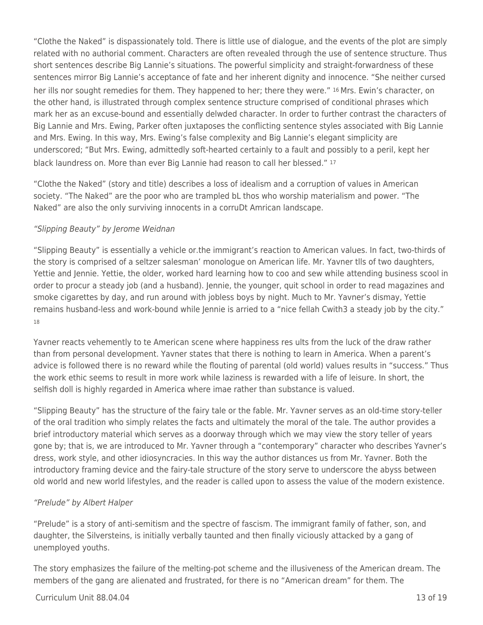"Clothe the Naked" is dispassionately told. There is little use of dialogue, and the events of the plot are simply related with no authorial comment. Characters are often revealed through the use of sentence structure. Thus short sentences describe Big Lannie's situations. The powerful simplicity and straight-forwardness of these sentences mirror Big Lannie's acceptance of fate and her inherent dignity and innocence. "She neither cursed her ills nor sought remedies for them. They happened to her; there they were." 16 Mrs. Ewin's character, on the other hand, is illustrated through complex sentence structure comprised of conditional phrases which mark her as an excuse-bound and essentially delwded character. In order to further contrast the characters of Big Lannie and Mrs. Ewing, Parker often juxtaposes the conflicting sentence styles associated with Big Lannie and Mrs. Ewing. In this way, Mrs. Ewing's false complexity and Big Lannie's elegant simplicity are underscored; "But Mrs. Ewing, admittedly soft-hearted certainly to a fault and possibly to a peril, kept her black laundress on. More than ever Big Lannie had reason to call her blessed." <sup>17</sup>

"Clothe the Naked" (story and title) describes a loss of idealism and a corruption of values in American society. "The Naked" are the poor who are trampled bL thos who worship materialism and power. "The Naked" are also the only surviving innocents in a corruDt Amrican landscape.

### "Slipping Beauty" by Jerome Weidnan

"Slipping Beauty" is essentially a vehicle or.the immigrant's reaction to American values. In fact, two-thirds of the story is comprised of a seltzer salesman' monologue on American life. Mr. Yavner tlls of two daughters, Yettie and Jennie. Yettie, the older, worked hard learning how to coo and sew while attending business scool in order to procur a steady job (and a husband). Jennie, the younger, quit school in order to read magazines and smoke cigarettes by day, and run around with jobless boys by night. Much to Mr. Yavner's dismay, Yettie remains husband-less and work-bound while Jennie is arried to a "nice fellah Cwith3 a steady job by the city." 18

Yavner reacts vehemently to te American scene where happiness res ults from the luck of the draw rather than from personal development. Yavner states that there is nothing to learn in America. When a parent's advice is followed there is no reward while the flouting of parental (old world) values results in "success." Thus the work ethic seems to result in more work while laziness is rewarded with a life of leisure. In short, the selfish doll is highly regarded in America where imae rather than substance is valued.

"Slipping Beauty" has the structure of the fairy tale or the fable. Mr. Yavner serves as an old-time story-teller of the oral tradition who simply relates the facts and ultimately the moral of the tale. The author provides a brief introductory material which serves as a doorway through which we may view the story teller of years gone by; that is, we are introduced to Mr. Yavner through a "contemporary" character who describes Yavner's dress, work style, and other idiosyncracies. In this way the author distances us from Mr. Yavner. Both the introductory framing device and the fairy-tale structure of the story serve to underscore the abyss between old world and new world lifestyles, and the reader is called upon to assess the value of the modern existence.

### "Prelude" by Albert Halper

"Prelude" is a story of anti-semitism and the spectre of fascism. The immigrant family of father, son, and daughter, the Silversteins, is initially verbally taunted and then finally viciously attacked by a gang of unemployed youths.

The story emphasizes the failure of the melting-pot scheme and the illusiveness of the American dream. The members of the gang are alienated and frustrated, for there is no "American dream" for them. The

### Curriculum Unit 88.04.04 13 of 19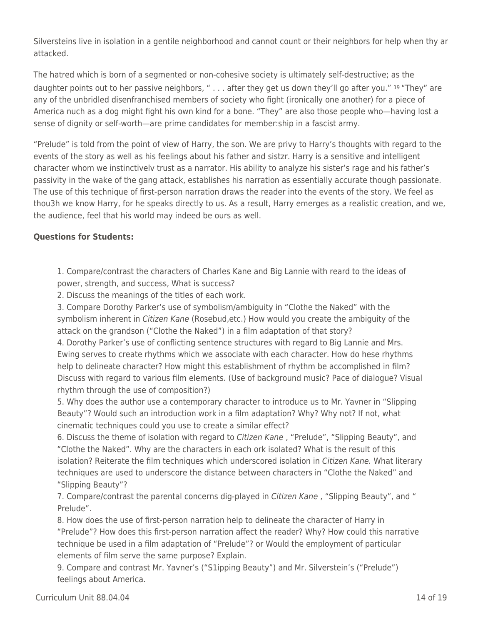Silversteins live in isolation in a gentile neighborhood and cannot count or their neighbors for help when thy ar attacked.

The hatred which is born of a segmented or non-cohesive society is ultimately self-destructive; as the daughter points out to her passive neighbors, " . . . after they get us down they'll go after you." 19 "They" are any of the unbridled disenfranchised members of society who fight (ironically one another) for a piece of America nuch as a dog might fight his own kind for a bone. "They" are also those people who—having lost a sense of dignity or self-worth—are prime candidates for member:ship in a fascist army.

"Prelude" is told from the point of view of Harry, the son. We are privy to Harry's thoughts with regard to the events of the story as well as his feelings about his father and sistzr. Harry is a sensitive and intelligent character whom we instinctivelv trust as a narrator. His ability to analyze his sister's rage and his father's passivity in the wake of the gang attack, establishes his narration as essentially accurate though passionate. The use of this technique of first-person narration draws the reader into the events of the story. We feel as thou3h we know Harry, for he speaks directly to us. As a result, Harry emerges as a realistic creation, and we, the audience, feel that his world may indeed be ours as well.

### **Questions for Students:**

1. Compare/contrast the characters of Charles Kane and Big Lannie with reard to the ideas of power, strength, and success, What is success?

2. Discuss the meanings of the titles of each work.

3. Compare Dorothy Parker's use of symbolism/ambiguity in "Clothe the Naked" with the symbolism inherent in Citizen Kane (Rosebud, etc.) How would you create the ambiguity of the attack on the grandson ("Clothe the Naked") in a film adaptation of that story?

4. Dorothy Parker's use of conflicting sentence structures with regard to Big Lannie and Mrs. Ewing serves to create rhythms which we associate with each character. How do hese rhythms help to delineate character? How might this establishment of rhythm be accomplished in film? Discuss with regard to various film elements. (Use of background music? Pace of dialogue? Visual rhythm through the use of composition?)

5. Why does the author use a contemporary character to introduce us to Mr. Yavner in "Slipping Beauty"? Would such an introduction work in a film adaptation? Why? Why not? If not, what cinematic techniques could you use to create a similar effect?

6. Discuss the theme of isolation with regard to Citizen Kane , "Prelude", "Slipping Beauty", and "Clothe the Naked". Why are the characters in each ork isolated? What is the result of this isolation? Reiterate the film techniques which underscored isolation in Citizen Kane. What literary techniques are used to underscore the distance between characters in "Clothe the Naked" and "Slipping Beauty"?

7. Compare/contrast the parental concerns dig-played in Citizen Kane , "Slipping Beauty", and " Prelude".

8. How does the use of first-person narration help to delineate the character of Harry in "Prelude"? How does this first-person narration affect the reader? Why? How could this narrative technique be used in a film adaptation of "Prelude"? or Would the employment of particular elements of film serve the same purpose? Explain.

9. Compare and contrast Mr. Yavner's ("S1ipping Beauty") and Mr. Silverstein's ("Prelude") feelings about America.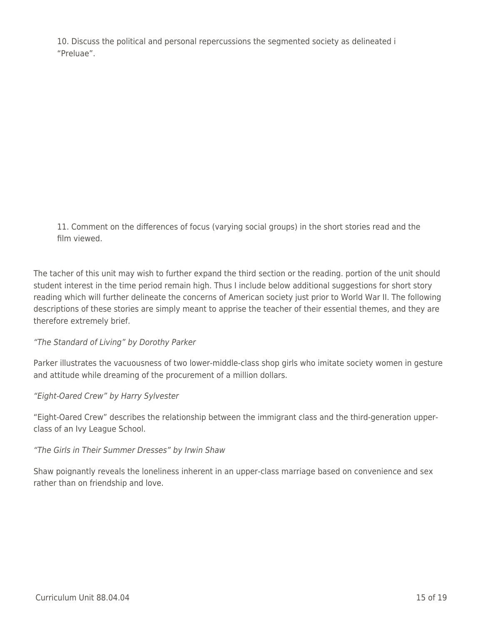10. Discuss the political and personal repercussions the segmented society as delineated i "Preluae".

11. Comment on the differences of focus (varying social groups) in the short stories read and the film viewed.

The tacher of this unit may wish to further expand the third section or the reading. portion of the unit should student interest in the time period remain high. Thus I include below additional suggestions for short story reading which will further delineate the concerns of American society just prior to World War II. The following descriptions of these stories are simply meant to apprise the teacher of their essential themes, and they are therefore extremely brief.

### "The Standard of Living" by Dorothy Parker

Parker illustrates the vacuousness of two lower-middle-class shop girls who imitate society women in gesture and attitude while dreaming of the procurement of a million dollars.

#### "Eight-Oared Crew" by Harry Sylvester

"Eight-Oared Crew" describes the relationship between the immigrant class and the third-generation upperclass of an Ivy League School.

#### "The Girls in Their Summer Dresses" by Irwin Shaw

Shaw poignantly reveals the loneliness inherent in an upper-class marriage based on convenience and sex rather than on friendship and love.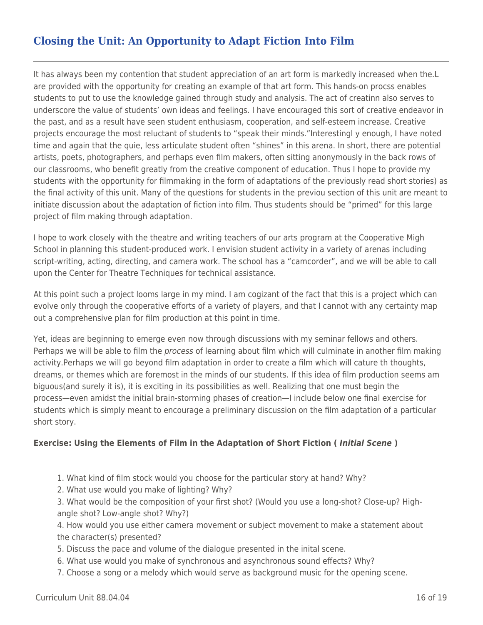# **Closing the Unit: An Opportunity to Adapt Fiction Into Film**

It has always been my contention that student appreciation of an art form is markedly increased when the.L are provided with the opportunity for creating an example of that art form. This hands-on procss enables students to put to use the knowledge gained through study and analysis. The act of creatinn also serves to underscore the value of students' own ideas and feelings. I have encouraged this sort of creative endeavor in the past, and as a result have seen student enthusiasm, cooperation, and self-esteem increase. Creative projects encourage the most reluctant of students to "speak their minds."Interestingl y enough, I have noted time and again that the quie, less articulate student often "shines" in this arena. In short, there are potential artists, poets, photographers, and perhaps even film makers, often sitting anonymously in the back rows of our classrooms, who benefit greatly from the creative component of education. Thus I hope to provide my students with the opportunity for filmmaking in the form of adaptations of the previously read short stories) as the final activity of this unit. Many of the questions for students in the previou section of this unit are meant to initiate discussion about the adaptation of fiction into film. Thus students should be "primed" for this large project of film making through adaptation.

I hope to work closely with the theatre and writing teachers of our arts program at the Cooperative Migh School in planning this student-produced work. I envision student activity in a variety of arenas including script-writing, acting, directing, and camera work. The school has a "camcorder", and we will be able to call upon the Center for Theatre Techniques for technical assistance.

At this point such a project looms large in my mind. I am cogizant of the fact that this is a project which can evolve only through the cooperative efforts of a variety of players, and that I cannot with any certainty map out a comprehensive plan for film production at this point in time.

Yet, ideas are beginning to emerge even now through discussions with my seminar fellows and others. Perhaps we will be able to film the *process* of learning about film which will culminate in another film making activity.Perhaps we will go beyond film adaptation in order to create a film which will cature th thoughts, dreams, or themes which are foremost in the minds of our students. If this idea of film production seems am biguous(and surely it is), it is exciting in its possibilities as well. Realizing that one must begin the process—even amidst the initial brain-storming phases of creation—I include below one final exercise for students which is simply meant to encourage a preliminary discussion on the film adaptation of a particular short story.

### **Exercise: Using the Elements of Film in the Adaptation of Short Fiction (** *Initial Scene* **)**

- 1. What kind of film stock would you choose for the particular story at hand? Why?
- 2. What use would you make of lighting? Why?

3. What would be the composition of your first shot? (Would you use a long-shot? Close-up? Highangle shot? Low-angle shot? Why?)

4. How would you use either camera movement or subject movement to make a statement about the character(s) presented?

- 5. Discuss the pace and volume of the dialogue presented in the inital scene.
- 6. What use would you make of synchronous and asynchronous sound effects? Why?
- 7. Choose a song or a melody which would serve as background music for the opening scene.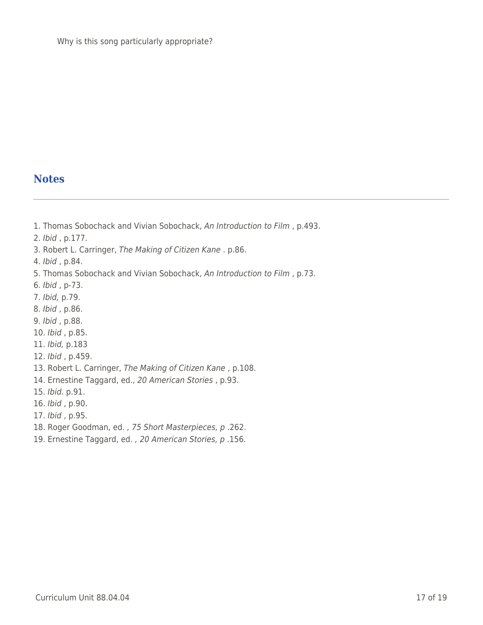## **Notes**

- 1. Thomas Sobochack and Vivian Sobochack, An Introduction to Film , p.493.
- 2. Ibid , p.177.
- 3. Robert L. Carringer, The Making of Citizen Kane . p.86.
- 4. Ibid , p.84.
- 5. Thomas Sobochack and Vivian Sobochack, An Introduction to Film , p.73.
- 6. Ibid , p-73.
- 7. Ibid, p.79.
- 8. Ibid , p.86.
- 9. Ibid , p.88.
- 10. Ibid , p.85.
- 11. Ibid, p.183
- 12. Ibid , p.459.
- 13. Robert L. Carringer, The Making of Citizen Kane , p.108.
- 14. Ernestine Taggard, ed., 20 American Stories , p.93.
- 15. Ibid. p.91.
- 16. Ibid , p.90.
- 17. Ibid , p.95.
- 18. Roger Goodman, ed. , 75 Short Masterpieces, p .262.
- 19. Ernestine Taggard, ed. , 20 American Stories, p .156.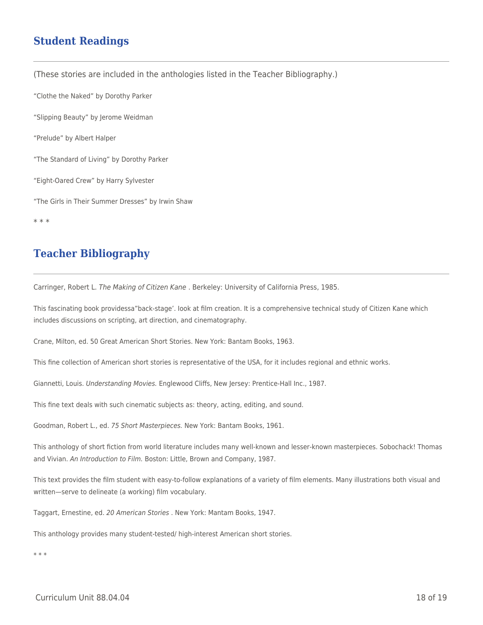## **Student Readings**

(These stories are included in the anthologies listed in the Teacher Bibliography.)

"Clothe the Naked" by Dorothy Parker "Slipping Beauty" by Jerome Weidman "Prelude" by Albert Halper "The Standard of Living" by Dorothy Parker "Eight-Oared Crew" by Harry Sylvester "The Girls in Their Summer Dresses" by Irwin Shaw

\* \* \*

## **Teacher Bibliography**

Carringer, Robert L. The Making of Citizen Kane . Berkeley: University of California Press, 1985.

This fascinating book providessa"back-stage'. Iook at film creation. It is a comprehensive technical study of Citizen Kane which includes discussions on scripting, art direction, and cinematography.

Crane, Milton, ed. 50 Great American Short Stories. New York: Bantam Books, 1963.

This fine collection of American short stories is representative of the USA, for it includes regional and ethnic works.

Giannetti, Louis. Understanding Movies. Englewood Cliffs, New Jersey: Prentice-Hall Inc., 1987.

This fine text deals with such cinematic subjects as: theory, acting, editing, and sound.

Goodman, Robert L., ed. 75 Short Masterpieces. New York: Bantam Books, 1961.

This anthology of short fiction from world literature includes many well-known and lesser-known masterpieces. Sobochack! Thomas and Vivian. An Introduction to Film. Boston: Little, Brown and Company, 1987.

This text provides the film student with easy-to-follow explanations of a variety of film elements. Many illustrations both visual and written—serve to delineate (a working) film vocabulary.

Taggart, Ernestine, ed. 20 American Stories . New York: Mantam Books, 1947.

This anthology provides many student-tested/ high-interest American short stories.

\* \* \*